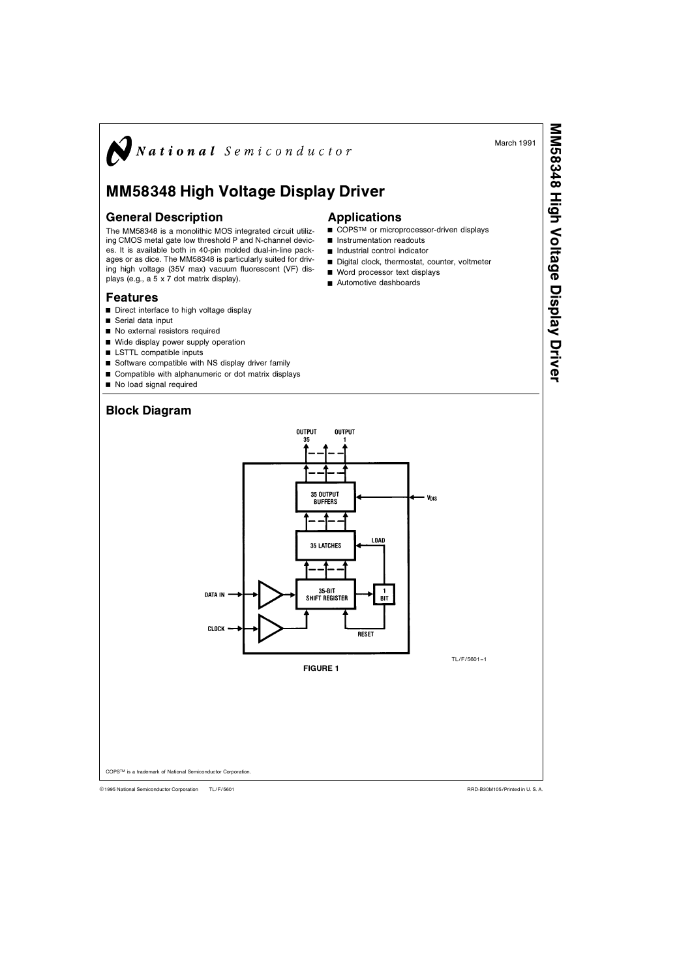March 1991

MM58348

High Voltage Display Driver

# $\sum$ National Semiconductor

# MM58348 High Voltage Display Driver

### General Description

The MM58348 is a monolithic MOS integrated circuit utilizing CMOS metal gate low threshold P and N-channel devices. It is available both in 40-pin molded dual-in-line packages or as dice. The MM58348 is particularly suited for driving high voltage (35V max) vacuum fluorescent (VF) displays (e.g., a 5 x 7 dot matrix display).

## Features

- Direct interface to high voltage display
- $\blacksquare$  Serial data input
- No external resistors required
- $\blacksquare$  Wide display power supply operation
- $\blacksquare$  LSTTL compatible inputs
- $\blacksquare$  Software compatible with NS display driver family
- $\blacksquare$  Compatible with alphanumeric or dot matrix displays
- No load signal required



Applications

**n** Instrumentation readouts  $\blacksquare$  Industrial control indicator

 $\blacksquare$  Word processor text displays Automotive dashboards

THE FIRE COPS™ or microprocessor-driven displays

■ Digital clock, thermostat, counter, voltmeter

TL/F/560 C1995 National Semiconductor Corporation RRD-B30M105Printed in U S A

COPSTM is a trademark of National Semiconductor Corporation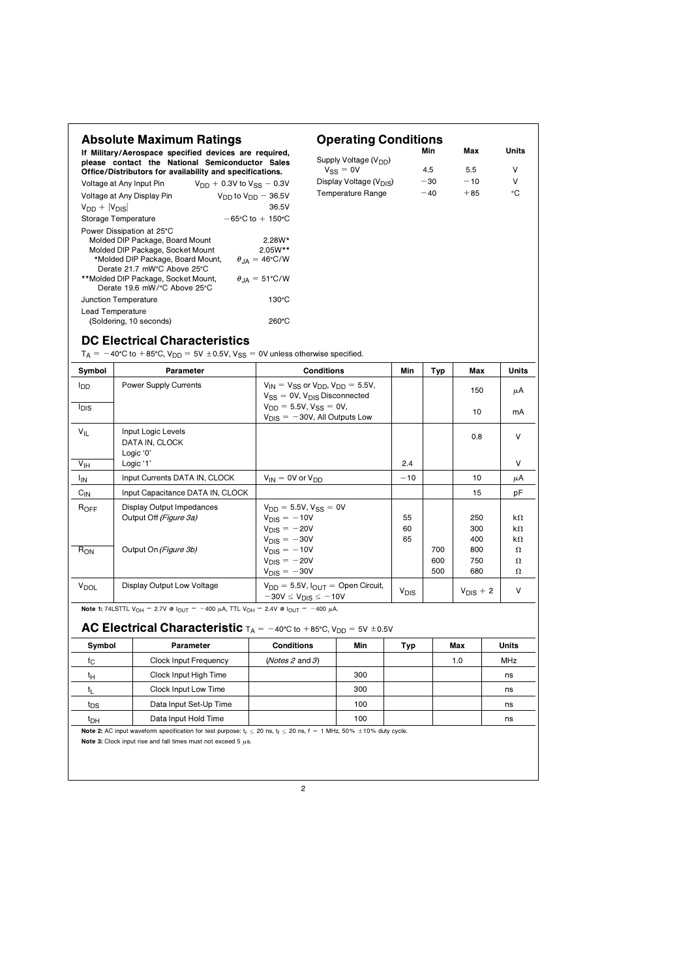| <b>Absolute Maximum Ratings</b><br>If Military/Aerospace specified devices are required,                                     |                                                                                                                                                      |                                                  | <b>Operating Conditions</b><br>Min                                                          |                                     |     |                |            |       | Units         |
|------------------------------------------------------------------------------------------------------------------------------|------------------------------------------------------------------------------------------------------------------------------------------------------|--------------------------------------------------|---------------------------------------------------------------------------------------------|-------------------------------------|-----|----------------|------------|-------|---------------|
|                                                                                                                              | please contact the National Semiconductor Sales                                                                                                      |                                                  | Supply Voltage (V <sub>DD</sub> )<br>$V_{SS} = 0V$                                          |                                     |     | 4.5            | 5.5        |       | V             |
|                                                                                                                              | Office/Distributors for availability and specifications.                                                                                             |                                                  |                                                                                             | Display Voltage (V <sub>DIS</sub> ) |     | $-30$<br>$-10$ |            |       | V             |
|                                                                                                                              | $V_{DD}$ + 0.3V to $V_{SS}$ – 0.3V<br>Voltage at Any Input Pin                                                                                       |                                                  |                                                                                             | Temperature Range                   |     | $-40$<br>$+85$ |            |       | °C            |
| $V_{DD} +  V_{DIS} $                                                                                                         | Voltage at Any Display Pin                                                                                                                           | $V_{DD}$ to $V_{DD}$ - 36.5V<br>36.5V            |                                                                                             |                                     |     |                |            |       |               |
|                                                                                                                              | Storage Temperature                                                                                                                                  | $-65^{\circ}$ C to $+150^{\circ}$ C              |                                                                                             |                                     |     |                |            |       |               |
|                                                                                                                              | Power Dissipation at 25°C                                                                                                                            |                                                  |                                                                                             |                                     |     |                |            |       |               |
|                                                                                                                              | Molded DIP Package, Board Mount                                                                                                                      | $2.28W*$                                         |                                                                                             |                                     |     |                |            |       |               |
|                                                                                                                              | Molded DIP Package, Socket Mount                                                                                                                     | 2.05W**<br>$\theta_{\text{JA}} = 46^{\circ}$ C/W |                                                                                             |                                     |     |                |            |       |               |
|                                                                                                                              | *Molded DIP Package, Board Mount,<br>Derate 21.7 mW°C Above 25°C                                                                                     |                                                  |                                                                                             |                                     |     |                |            |       |               |
|                                                                                                                              | **Molded DIP Package, Socket Mount,<br>Derate 19.6 mW/°C Above 25°C                                                                                  | $\theta_{JA} = 51^{\circ}$ C/W                   |                                                                                             |                                     |     |                |            |       |               |
|                                                                                                                              | Junction Temperature                                                                                                                                 | $130^{\circ}$ C                                  |                                                                                             |                                     |     |                |            |       |               |
| Lead Temperature                                                                                                             | (Soldering, 10 seconds)                                                                                                                              | 260°C                                            |                                                                                             |                                     |     |                |            |       |               |
|                                                                                                                              | <b>DC Electrical Characteristics</b><br>$T_A = -40^{\circ}$ C to +85°C, V <sub>DD</sub> = 5V ±0.5V, V <sub>SS</sub> = 0V unless otherwise specified. |                                                  |                                                                                             |                                     |     |                |            |       |               |
| Symbol                                                                                                                       | Parameter                                                                                                                                            | <b>Conditions</b>                                |                                                                                             |                                     | Min | Typ            | Max        |       | Units         |
| l <sub>DD</sub>                                                                                                              | <b>Power Supply Currents</b>                                                                                                                         |                                                  | $V_{IN} = V_{SS}$ or $V_{DD}$ , $V_{DD} = 5.5V$ ,<br>$V_{SS} = 0V$ , $V_{DIS}$ Disconnected |                                     |     |                | 150        |       | μA            |
| <sup>I</sup> DIS                                                                                                             |                                                                                                                                                      |                                                  | $V_{DD} = 5.5V, V_{SS} = 0V,$                                                               |                                     |     |                |            |       |               |
|                                                                                                                              |                                                                                                                                                      | $V_{\text{DIS}} = -30V$ , All Outputs Low        |                                                                                             |                                     |     |                | 10         |       | mA            |
| $V_{IL}$                                                                                                                     | Input Logic Levels                                                                                                                                   |                                                  |                                                                                             |                                     |     |                | 0.8        |       | V             |
|                                                                                                                              | DATA IN, CLOCK                                                                                                                                       |                                                  |                                                                                             |                                     |     |                |            |       |               |
| V <sub>IH</sub>                                                                                                              | Logic '0'<br>Logic '1'                                                                                                                               |                                                  |                                                                                             |                                     | 2.4 |                |            |       | V             |
| <sup>I</sup> IN                                                                                                              | Input Currents DATA IN, CLOCK                                                                                                                        |                                                  | $V_{IN} = 0V$ or $V_{DD}$                                                                   |                                     |     |                | 10         |       | μA            |
| $C_{IN}$                                                                                                                     | Input Capacitance DATA IN, CLOCK                                                                                                                     |                                                  |                                                                                             |                                     |     |                | 15         |       | рF            |
| $R_{OFF}$                                                                                                                    | Display Output Impedances                                                                                                                            |                                                  |                                                                                             |                                     |     |                |            |       |               |
|                                                                                                                              | Output Off (Figure 3a)                                                                                                                               |                                                  | $V_{DD} = 5.5V, V_{SS} = 0V$<br>$V_{\text{DIS}} = -10V$                                     |                                     |     |                | 250        |       | k $\Omega$    |
|                                                                                                                              |                                                                                                                                                      | $V_{DIS} = -20V$                                 |                                                                                             |                                     | 60  |                | 300        |       | kΩ            |
|                                                                                                                              |                                                                                                                                                      | $V_{\text{DIS}} = -30V$                          |                                                                                             |                                     | 65  |                | 400        |       | kΩ            |
| $R_{ON}$                                                                                                                     | Output On (Figure 3b)                                                                                                                                |                                                  | $V_{DIS} = -10V$<br>$V_{\text{DIS}} = -20V$                                                 |                                     |     | 700<br>600     | 800<br>750 |       | $\Omega$<br>Ω |
|                                                                                                                              |                                                                                                                                                      | $V_{\text{DIS}} = -30V$                          |                                                                                             |                                     |     | 500            | 680        |       | Ω             |
| V <sub>DOL</sub>                                                                                                             | Display Output Low Voltage                                                                                                                           |                                                  | $V_{DD} = 5.5V$ , $I_{OUIT} =$ Open Circuit,                                                |                                     |     |                |            |       |               |
|                                                                                                                              |                                                                                                                                                      |                                                  | $-30V \le V_{DIS} \le -10V$                                                                 |                                     |     | $V_{DIS}$ + 2  |            |       | V             |
|                                                                                                                              | <b>Note 1:</b> 74LSTTL $V_{OH} = 2.7V \otimes I_{OUT} = -400 \mu A$ , TTL $V_{OH} = 2.4V \otimes I_{OUT} = -400 \mu A$ .                             |                                                  |                                                                                             |                                     |     |                |            |       |               |
|                                                                                                                              | AC Electrical Characteristic $T_A = -40^{\circ}C$ to $+85^{\circ}C$ , $V_{DD} = 5V \pm 0.5V$                                                         |                                                  |                                                                                             |                                     |     |                |            |       |               |
| Symbol                                                                                                                       | Parameter                                                                                                                                            | Conditions                                       |                                                                                             | Min                                 | Тур |                | мах        | Units |               |
| tc                                                                                                                           | Clock Input Frequency                                                                                                                                | (Notes 2 and 3)                                  |                                                                                             |                                     |     |                | 1.0        |       | MHz           |
| tμ                                                                                                                           | Clock Input High Time                                                                                                                                |                                                  |                                                                                             | 300                                 |     |                |            |       | ns            |
| tL                                                                                                                           | Clock Input Low Time                                                                                                                                 |                                                  |                                                                                             | 300                                 |     |                |            |       | ns            |
| Data Input Set-Up Time<br>t <sub>DS</sub>                                                                                    |                                                                                                                                                      | 100                                              |                                                                                             |                                     |     |                |            |       | ns            |
| Data Input Hold Time<br>t <sub>DH</sub>                                                                                      |                                                                                                                                                      |                                                  |                                                                                             | 100                                 |     |                |            |       | ns            |
| Note 2: AC input waveform specification for test purpose: $t_r \le 20$ ns, $t_f \le 20$ ns, f = 1 MHz, 50% ± 10% duty cycle. |                                                                                                                                                      |                                                  |                                                                                             |                                     |     |                |            |       |               |
|                                                                                                                              | Note 3: Clock input rise and fall times must not exceed 5 $\mu$ s.                                                                                   |                                                  |                                                                                             |                                     |     |                |            |       |               |
|                                                                                                                              |                                                                                                                                                      | 2                                                |                                                                                             |                                     |     |                |            |       |               |
|                                                                                                                              |                                                                                                                                                      |                                                  |                                                                                             |                                     |     |                |            |       |               |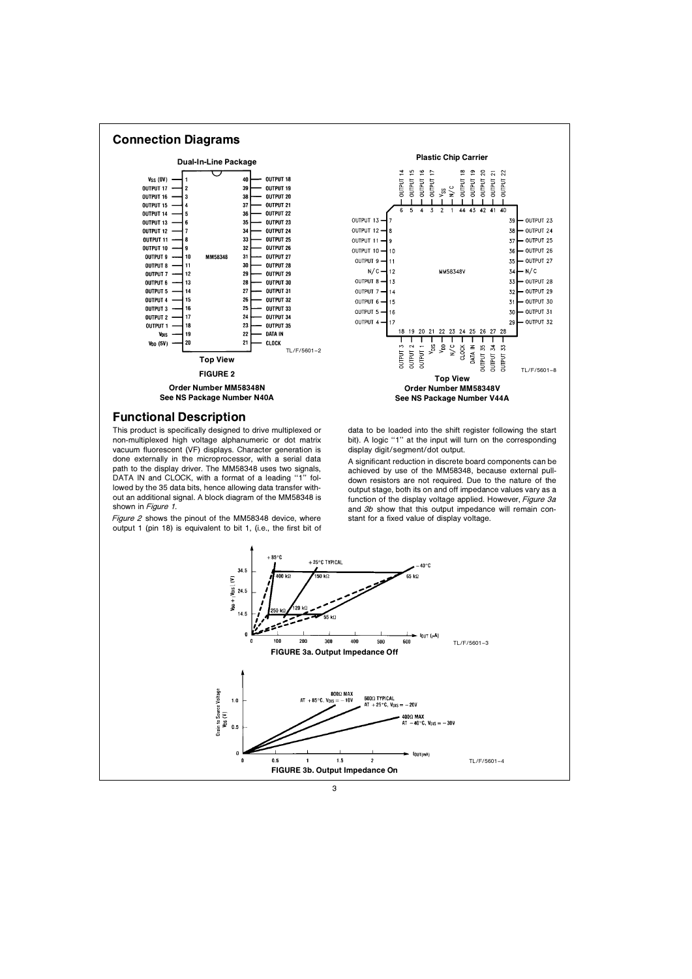



# Functional Description

This product is specifically designed to drive multiplexed or non-multiplexed high voltage alphanumeric or dot matrix vacuum fluorescent (VF) displays. Character generation is done externally in the microprocessor, with a serial data path to the display driver. The MM58348 uses two signals, DATA IN and CLOCK, with a format of a leading "1" followed by the 35 data bits, hence allowing data transfer without an additional signal. A block diagram of the MM58348 is shown in Figure 1.

Figure 2 shows the pinout of the MM58348 device, where output 1 (pin 18) is equivalent to bit 1, (i.e., the first bit of



data to be loaded into the shift register following the start bit). A logic "1" at the input will turn on the corresponding display digit/segment/dot output.

A significant reduction in discrete board components can be achieved by use of the MM58348 because external pulldown resistors are not required. Due to the nature of the output stage both its on and off impedance values vary as a function of the display voltage applied. However, Figure 3a and  $3b$  show that this output impedance will remain constant for a fixed value of display voltage

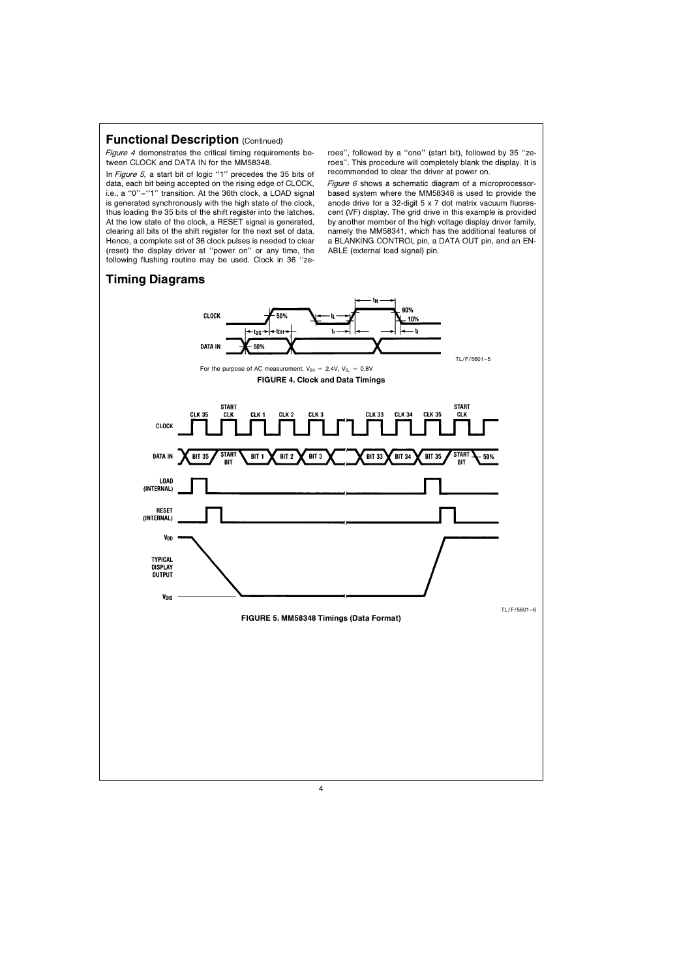#### **Functional Description (Continued)**

Figure 4 demonstrates the critical timing requirements between CLOCK and DATA IN for the MM58348

In Figure 5, a start bit of logic "1" precedes the 35 bits of data, each bit being accepted on the rising edge of CLOCK, ie a ''0''–''1'' transition At the 36th clock a LOAD signal is generated synchronously with the high state of the clock. thus loading the 35 bits of the shift register into the latches At the low state of the clock, a RESET signal is generated, clearing all bits of the shift register for the next set of data Hence, a complete set of 36 clock pulses is needed to clear (reset) the display driver at "power on" or any time, the following flushing routine may be used. Clock in 36 "zeroes", followed by a "one" (start bit), followed by 35 "zeroes". This procedure will completely blank the display. It is recommended to clear the driver at power on

Figure 6 shows a schematic diagram of a microprocessorbased system where the MM58348 is used to provide the anode drive for a 32-digit 5 x 7 dot matrix vacuum fluorescent (VF) display The grid drive in this example is provided by another member of the high voltage display driver family, namely the MM58341, which has the additional features of a BLANKING CONTROL pin, a DATA OUT pin, and an EN-ABLE (external load signal) pin

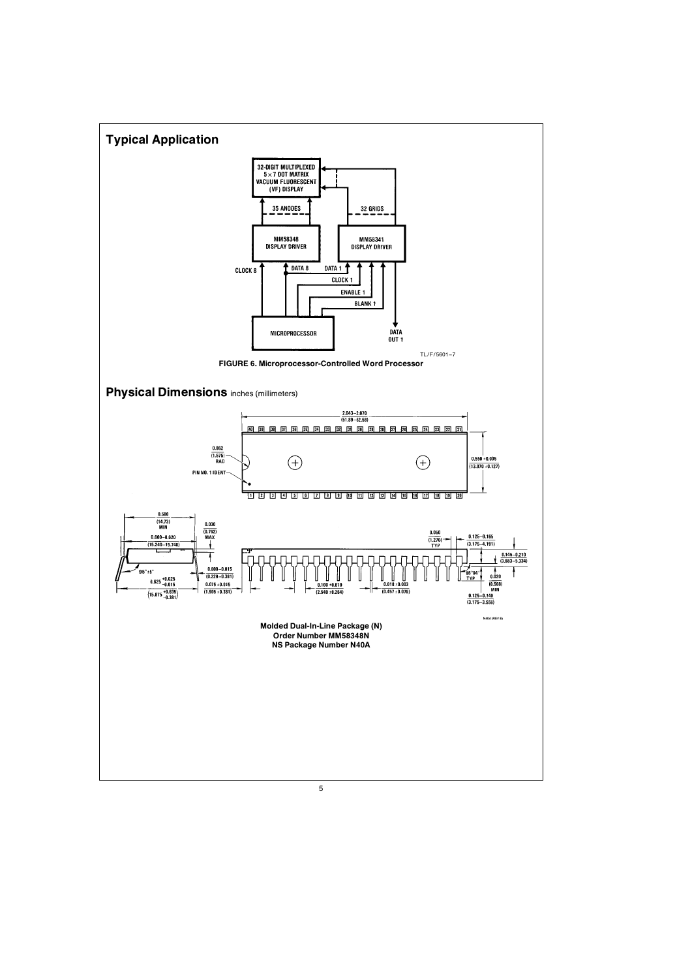

5